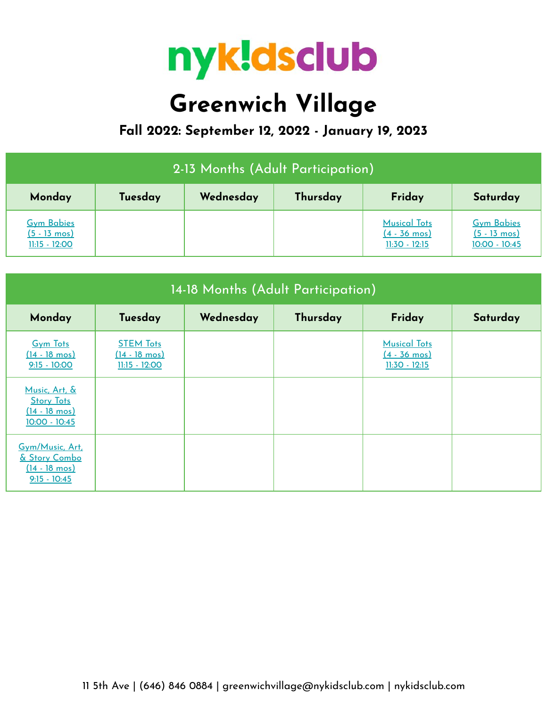

## **Greenwich Village**

**Fall 2022: September 12, 2022 - January 19, 2023**

| 2-13 Months (Adult Participation)                              |         |           |          |                                                                  |                                                                |  |  |
|----------------------------------------------------------------|---------|-----------|----------|------------------------------------------------------------------|----------------------------------------------------------------|--|--|
| Monday                                                         | Tuesday | Wednesday | Thursday | Friday                                                           | Saturday                                                       |  |  |
| <b>Gym Babies</b><br>$(5 - 13 \text{ mos})$<br>$11:15 - 12:00$ |         |           |          | <b>Musical Tots</b><br>$(4 - 36 \text{ mos})$<br>$11:30 - 12:15$ | <b>Gym Babies</b><br>$(5 - 13 \text{ mos})$<br>$10:00 - 10:45$ |  |  |

| 14-18 Months (Adult Participation)                                             |                                                                |           |          |                                                                  |          |  |  |
|--------------------------------------------------------------------------------|----------------------------------------------------------------|-----------|----------|------------------------------------------------------------------|----------|--|--|
| Monday                                                                         | Tuesday                                                        | Wednesday | Thursday | Friday                                                           | Saturday |  |  |
| <b>Gym Tots</b><br>$(14 - 18 \text{ mos})$<br>$9:15 - 10:00$                   | <b>STEM Tots</b><br>$(14 - 18 \text{ mos})$<br>$11:15 - 12:00$ |           |          | <b>Musical Tots</b><br>$(4 - 36 \text{ mos})$<br>$11:30 - 12:15$ |          |  |  |
| Music, Art, &<br><b>Story Tots</b><br>$(14 - 18 \text{ mos})$<br>10:00 - 10:45 |                                                                |           |          |                                                                  |          |  |  |
| Gym/Music, Art.<br>& Story Combo<br>$(14 - 18 \text{ mos})$<br>$9:15 - 10:45$  |                                                                |           |          |                                                                  |          |  |  |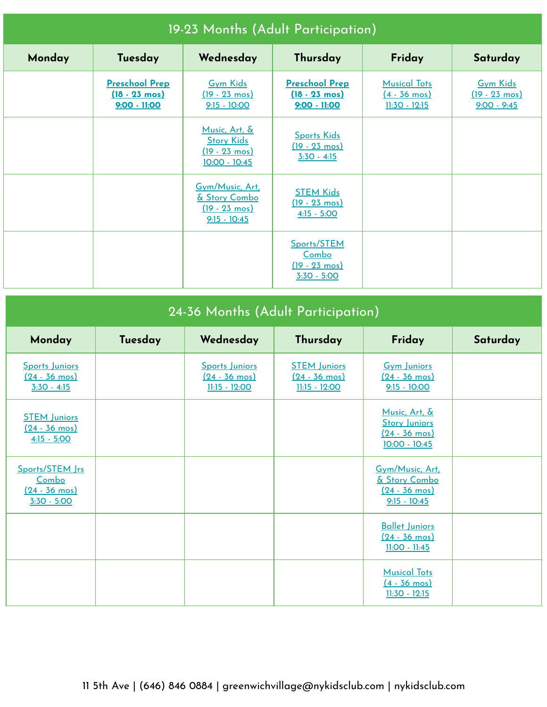| 19-23 Months (Adult Participation) |                                                                  |                                                                                  |                                                                    |                                                                  |                                                             |  |  |
|------------------------------------|------------------------------------------------------------------|----------------------------------------------------------------------------------|--------------------------------------------------------------------|------------------------------------------------------------------|-------------------------------------------------------------|--|--|
| Monday                             | Tuesday                                                          | Wednesday                                                                        | Thursday                                                           | Friday                                                           | Saturday                                                    |  |  |
|                                    | <b>Preschool Prep</b><br>$(18 - 23 \text{ mos})$<br>9:00 - 11:00 | <b>Gym Kids</b><br>$(19 - 23 \text{ mos})$<br>$9:15 - 10:00$                     | <b>Preschool Prep</b><br>$(18 - 23 \text{ mos})$<br>$9:00 - 11:00$ | <b>Musical Tots</b><br>$(4 - 36 \text{ mos})$<br>$11:30 - 12:15$ | <b>Gym Kids</b><br>$(19 - 23 \text{ mos})$<br>$9:00 - 9:45$ |  |  |
|                                    |                                                                  | Music, Art, &<br><b>Story Kids</b><br>$(19 - 23 \text{ mos})$<br>$10:00 - 10:45$ | <b>Sports Kids</b><br><u>(19 - 23 mos)</u><br>$3:30 - 4:15$        |                                                                  |                                                             |  |  |
|                                    |                                                                  | Gym/Music, Art,<br>& Story Combo<br>$(19 - 23 \text{ mos})$<br>$9:15 - 10:45$    | <b>STEM Kids</b><br><u>(19 - 23 mos)</u><br>$4:15 - 5:00$          |                                                                  |                                                             |  |  |
|                                    |                                                                  |                                                                                  | Sports/STEM<br>Combo<br><u>(19 - 23 mos)</u><br>$3:30 - 5:00$      |                                                                  |                                                             |  |  |

| 24-36 Months (Adult Participation)                                   |         |                                                            |                                                                 |                                                                                  |          |  |  |
|----------------------------------------------------------------------|---------|------------------------------------------------------------|-----------------------------------------------------------------|----------------------------------------------------------------------------------|----------|--|--|
| Monday                                                               | Tuesday | Wednesday                                                  | Thursday                                                        | Friday                                                                           | Saturday |  |  |
| Sports Juniors<br>$(24 - 36 \text{ mos})$<br>$3:30 - 4:15$           |         | Sports Juniors<br>$(24 - 36 \text{ mos})$<br>11:15 - 12:00 | <b>STEM Juniors</b><br>$(24 - 36 \text{ mos})$<br>11:15 - 12:00 | <b>Gym Juniors</b><br>$(24 - 36 \text{ mos})$<br>$9:15 - 10:00$                  |          |  |  |
| <b>STEM Juniors</b><br>$(24 - 36 \text{ mos})$<br>$4:15 - 5:00$      |         |                                                            |                                                                 | Music, Art. &<br><b>Story Juniors</b><br><u>(24 - 36 mos)</u><br>$10:00 - 10:45$ |          |  |  |
| Sports/STEM Jrs<br>Combo<br>$(24 - 36 \text{ mos})$<br>$3:30 - 5:00$ |         |                                                            |                                                                 | Gym/Music, Art.<br>& Story Combo<br>$(24 - 36 \text{ mos})$<br>$9:15 - 10:45$    |          |  |  |
|                                                                      |         |                                                            |                                                                 | <b>Ballet Juniors</b><br>$(24 - 36 \text{ mos})$<br>$11:00 - 11:45$              |          |  |  |
|                                                                      |         |                                                            |                                                                 | <b>Musical Tots</b><br>$(4 - 36 \text{ mos})$<br>$11:30 - 12:15$                 |          |  |  |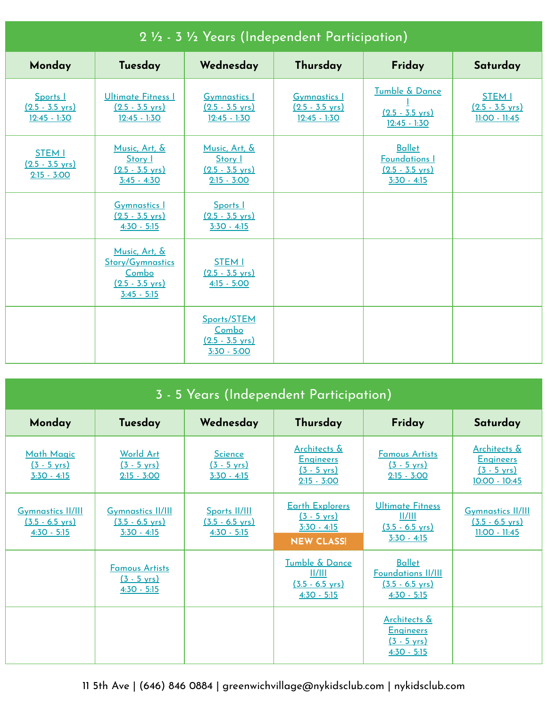| 2 1/2 - 3 1/2 Years (Independent Participation)             |                                                                                                 |                                                                        |                                                                    |                                                                                     |                                                               |  |  |
|-------------------------------------------------------------|-------------------------------------------------------------------------------------------------|------------------------------------------------------------------------|--------------------------------------------------------------------|-------------------------------------------------------------------------------------|---------------------------------------------------------------|--|--|
| Monday                                                      | Tuesday                                                                                         | Wednesday                                                              | Thursday                                                           | Friday                                                                              | Saturday                                                      |  |  |
| Sports I<br>$(2.5 - 3.5 \text{ yrs})$<br>$12:45 - 1:30$     | <b>Ultimate Fitness I</b><br>$(2.5 - 3.5 \text{ yrs})$<br>$12:45 - 1:30$                        | <b>Gymnastics I</b><br>$(2.5 - 3.5 \text{ yrs})$<br>$12:45 - 1:30$     | <b>Gymnastics I</b><br>$(2.5 - 3.5 \text{ yrs})$<br>$12:45 - 1:30$ | <b>Tumble &amp; Dance</b><br>$(2.5 - 3.5 \text{ yrs})$<br>$12:45 - 1:30$            | <b>STEM I</b><br>$(2.5 - 3.5 \text{ yrs})$<br>$11:00 - 11:45$ |  |  |
| <b>STEM I</b><br>$(2.5 - 3.5 \text{ yrs})$<br>$2:15 - 3:00$ | Music, Art, &<br>Story I<br>$(2.5 - 3.5 \text{ yrs})$<br>$3:45 - 4:30$                          | Music, Art, &<br>Story I<br>$(2.5 - 3.5 \text{ yrs})$<br>$2:15 - 3:00$ |                                                                    | <b>Ballet</b><br><b>Foundations I</b><br>$(2.5 - 3.5 \text{ yrs})$<br>$3:30 - 4:15$ |                                                               |  |  |
|                                                             | <b>Gymnastics 1</b><br>$(2.5 - 3.5 \text{ yrs})$<br>$4:30 - 5:15$                               | Sports I<br>$(2.5 - 3.5 \text{ vrs})$<br>$3:30 - 4:15$                 |                                                                    |                                                                                     |                                                               |  |  |
|                                                             | Music, Art, &<br><b>Story/Gymnastics</b><br>Combo<br>$(2.5 - 3.5 \text{ vrs})$<br>$3:45 - 5:15$ | <b>STEM I</b><br>$(2.5 - 3.5 \text{ vrs})$<br>$4:15 - 5:00$            |                                                                    |                                                                                     |                                                               |  |  |
|                                                             |                                                                                                 | Sports/STEM<br>Combo<br>$(2.5 - 3.5 \text{ yrs})$<br>$3:30 - 5:00$     |                                                                    |                                                                                     |                                                               |  |  |

| 3 - 5 Years (Independent Participation)                                |                                                                        |                                                             |                                                                                       |                                                                                          |                                                                              |  |  |
|------------------------------------------------------------------------|------------------------------------------------------------------------|-------------------------------------------------------------|---------------------------------------------------------------------------------------|------------------------------------------------------------------------------------------|------------------------------------------------------------------------------|--|--|
| Monday                                                                 | Tuesday                                                                | Wednesday                                                   | Thursday                                                                              | Friday                                                                                   | Saturday                                                                     |  |  |
| <b>Math Magic</b><br>$(3 - 5 \text{ yrs})$<br>$3:30 - 4:15$            | <b>World Art</b><br>$(3 - 5 \text{ yrs})$<br>$2:15 - 3:00$             | <b>Science</b><br>$(3 - 5 \text{ yrs})$<br>$3:30 - 4:15$    | Architects &<br><b>Engineers</b><br>$(3 - 5 \text{ yrs})$<br>$2:15 - 3:00$            | <b>Famous Artists</b><br>$(3 - 5 \text{ yrs})$<br>$2:15 - 3:00$                          | Architects &<br><b>Engineers</b><br>$(3 - 5 \text{ yrs})$<br>$10:00 - 10:45$ |  |  |
| <b>Gymnastics II/III</b><br>$(3.5 - 6.5 \text{ yrs})$<br>$4:30 - 5:15$ | <b>Gymnastics II/III</b><br>$(3.5 - 6.5 \text{ yrs})$<br>$3:30 - 4:15$ | Sports II/III<br>$(3.5 - 6.5 \text{ yrs})$<br>$4:30 - 5:15$ | <b>Earth Explorers</b><br>$(3 - 5 \text{ yrs})$<br>$3:30 - 4:15$<br><b>NEW CLASS!</b> | Ultimate Fitness<br>II/III<br>$(3.5 - 6.5 \text{ yrs})$<br>$3:30 - 4:15$                 | <b>Gymnastics II/III</b><br>$(3.5 - 6.5 \text{ yrs})$<br>$11:00 - 11:45$     |  |  |
|                                                                        | <b>Famous Artists</b><br>$(3 - 5 \text{ vrs})$<br>$4:30 - 5:15$        |                                                             | Tumble & Dance<br>II/III<br>$(3.5 - 6.5 \text{ vrs})$<br>$4:30 - 5:15$                | <b>Ballet</b><br><b>Foundations II/III</b><br>$(3.5 - 6.5 \text{ yrs})$<br>$4:30 - 5:15$ |                                                                              |  |  |
|                                                                        |                                                                        |                                                             |                                                                                       | <b>Architects &amp;</b><br><b>Engineers</b><br>$(3 - 5 \text{ vrs})$<br>$4:30 - 5:15$    |                                                                              |  |  |